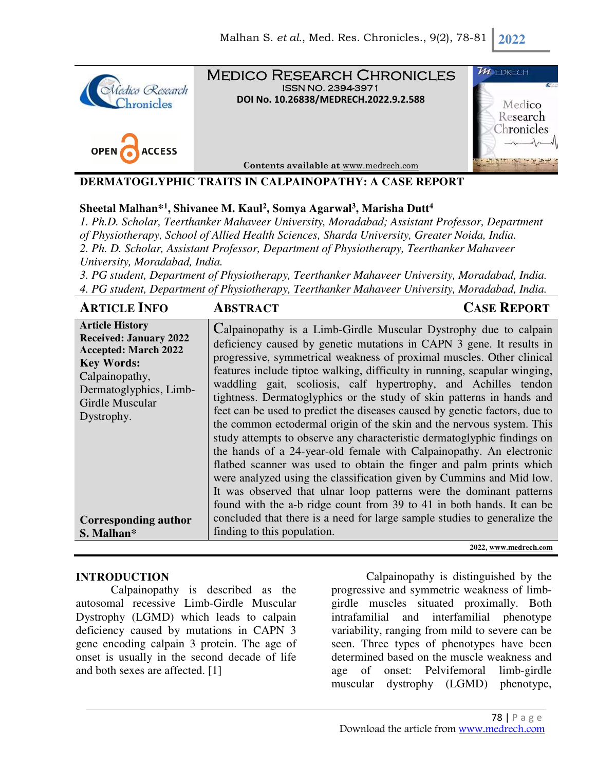



Medico Research Chronicles ISSN NO. 2394-3971 **DOI No. 10.26838/MEDRECH.2022.9.2.588**

**Contents available at** www.medrech.com



## **DERMATOGLYPHIC TRAITS IN CALPAINOPATHY: A CASE REPORT**

## **Sheetal Malhan\*<sup>1</sup> , Shivanee M. Kaul<sup>2</sup> , Somya Agarwal<sup>3</sup> , Marisha Dutt<sup>4</sup>**

*1. Ph.D. Scholar, Teerthanker Mahaveer University, Moradabad; Assistant Professor, Department of Physiotherapy, School of Allied Health Sciences, Sharda University, Greater Noida, India. 2. Ph. D. Scholar, Assistant Professor, Department of Physiotherapy, Teerthanker Mahaveer University, Moradabad, India.* 

*3. PG student, Department of Physiotherapy, Teerthanker Mahaveer University, Moradabad, India. 4. PG student, Department of Physiotherapy, Teerthanker Mahaveer University, Moradabad, India.*

| <b>ARTICLE INFO</b>                                                                                                                                                                      | <b>ABSTRACT</b>                                                                                                                                                                                                                                                                                                                                                                                                                                                                                                                                                                                                                                                                                                                                                                                                                                                                                                                                                                                                                                    | <b>CASE REPORT</b> |
|------------------------------------------------------------------------------------------------------------------------------------------------------------------------------------------|----------------------------------------------------------------------------------------------------------------------------------------------------------------------------------------------------------------------------------------------------------------------------------------------------------------------------------------------------------------------------------------------------------------------------------------------------------------------------------------------------------------------------------------------------------------------------------------------------------------------------------------------------------------------------------------------------------------------------------------------------------------------------------------------------------------------------------------------------------------------------------------------------------------------------------------------------------------------------------------------------------------------------------------------------|--------------------|
| <b>Article History</b><br><b>Received: January 2022</b><br><b>Accepted: March 2022</b><br><b>Key Words:</b><br>Calpainopathy,<br>Dermatoglyphics, Limb-<br>Girdle Muscular<br>Dystrophy. | Calpainopathy is a Limb-Girdle Muscular Dystrophy due to calpain<br>deficiency caused by genetic mutations in CAPN 3 gene. It results in<br>progressive, symmetrical weakness of proximal muscles. Other clinical<br>features include tiptoe walking, difficulty in running, scapular winging,<br>waddling gait, scoliosis, calf hypertrophy, and Achilles tendon<br>tightness. Dermatoglyphics or the study of skin patterns in hands and<br>feet can be used to predict the diseases caused by genetic factors, due to<br>the common ectodermal origin of the skin and the nervous system. This<br>study attempts to observe any characteristic dermatoglyphic findings on<br>the hands of a 24-year-old female with Calpainopathy. An electronic<br>flatbed scanner was used to obtain the finger and palm prints which<br>were analyzed using the classification given by Cummins and Mid low.<br>It was observed that ulnar loop patterns were the dominant patterns<br>found with the a-b ridge count from 39 to 41 in both hands. It can be |                    |
| <b>Corresponding author</b>                                                                                                                                                              | concluded that there is a need for large sample studies to generalize the                                                                                                                                                                                                                                                                                                                                                                                                                                                                                                                                                                                                                                                                                                                                                                                                                                                                                                                                                                          |                    |
| S. Malhan*                                                                                                                                                                               | finding to this population.                                                                                                                                                                                                                                                                                                                                                                                                                                                                                                                                                                                                                                                                                                                                                                                                                                                                                                                                                                                                                        |                    |

#### **2022, www.medrech.com**

### **INTRODUCTION**

Calpainopathy is described as the autosomal recessive Limb-Girdle Muscular Dystrophy (LGMD) which leads to calpain deficiency caused by mutations in CAPN 3 gene encoding calpain 3 protein. The age of onset is usually in the second decade of life and both sexes are affected. [1]

Calpainopathy is distinguished by the progressive and symmetric weakness of limbgirdle muscles situated proximally. Both intrafamilial and interfamilial phenotype variability, ranging from mild to severe can be seen. Three types of phenotypes have been determined based on the muscle weakness and age of onset: Pelvifemoral limb-girdle muscular dystrophy (LGMD) phenotype,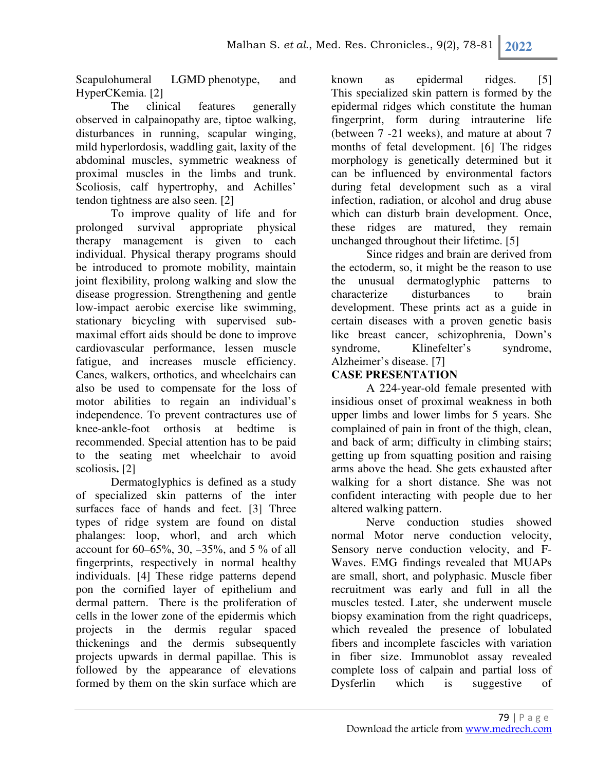Scapulohumeral LGMD phenotype, and HyperCKemia. [2]

The clinical features generally observed in calpainopathy are, tiptoe walking, disturbances in running, scapular winging, mild hyperlordosis, waddling gait, laxity of the abdominal muscles, symmetric weakness of proximal muscles in the limbs and trunk. Scoliosis, calf hypertrophy, and Achilles' tendon tightness are also seen. [2]

To improve quality of life and for prolonged survival appropriate physical therapy management is given to each individual. Physical therapy programs should be introduced to promote mobility, maintain joint flexibility, prolong walking and slow the disease progression. Strengthening and gentle low-impact aerobic exercise like swimming, stationary bicycling with supervised submaximal effort aids should be done to improve cardiovascular performance, lessen muscle fatigue, and increases muscle efficiency. Canes, walkers, orthotics, and wheelchairs can also be used to compensate for the loss of motor abilities to regain an individual's independence. To prevent contractures use of knee-ankle-foot orthosis at bedtime is recommended. Special attention has to be paid to the seating met wheelchair to avoid scoliosis**.** [2]

Dermatoglyphics is defined as a study of specialized skin patterns of the inter surfaces face of hands and feet. [3] Three types of ridge system are found on distal phalanges: loop, whorl, and arch which account for 60–65%, 30, –35%, and 5 % of all fingerprints, respectively in normal healthy individuals. [4] These ridge patterns depend pon the cornified layer of epithelium and dermal pattern. There is the proliferation of cells in the lower zone of the epidermis which projects in the dermis regular spaced thickenings and the dermis subsequently projects upwards in dermal papillae. This is followed by the appearance of elevations formed by them on the skin surface which are

known as epidermal ridges. [5] This specialized skin pattern is formed by the epidermal ridges which constitute the human fingerprint, form during intrauterine life (between 7 -21 weeks), and mature at about 7 months of fetal development. [6] The ridges morphology is genetically determined but it can be influenced by environmental factors during fetal development such as a viral infection, radiation, or alcohol and drug abuse which can disturb brain development. Once, these ridges are matured, they remain unchanged throughout their lifetime. [5]

Since ridges and brain are derived from the ectoderm, so, it might be the reason to use the unusual dermatoglyphic patterns to characterize disturbances to brain development. These prints act as a guide in certain diseases with a proven genetic basis like breast cancer, schizophrenia, Down's syndrome, Klinefelter's syndrome, Alzheimer's disease. [7]

# **CASE PRESENTATION**

A 224-year-old female presented with insidious onset of proximal weakness in both upper limbs and lower limbs for 5 years. She complained of pain in front of the thigh, clean, and back of arm; difficulty in climbing stairs; getting up from squatting position and raising arms above the head. She gets exhausted after walking for a short distance. She was not confident interacting with people due to her altered walking pattern.

Nerve conduction studies showed normal Motor nerve conduction velocity, Sensory nerve conduction velocity, and F-Waves. EMG findings revealed that MUAPs are small, short, and polyphasic. Muscle fiber recruitment was early and full in all the muscles tested. Later, she underwent muscle biopsy examination from the right quadriceps, which revealed the presence of lobulated fibers and incomplete fascicles with variation in fiber size. Immunoblot assay revealed complete loss of calpain and partial loss of Dysferlin which is suggestive of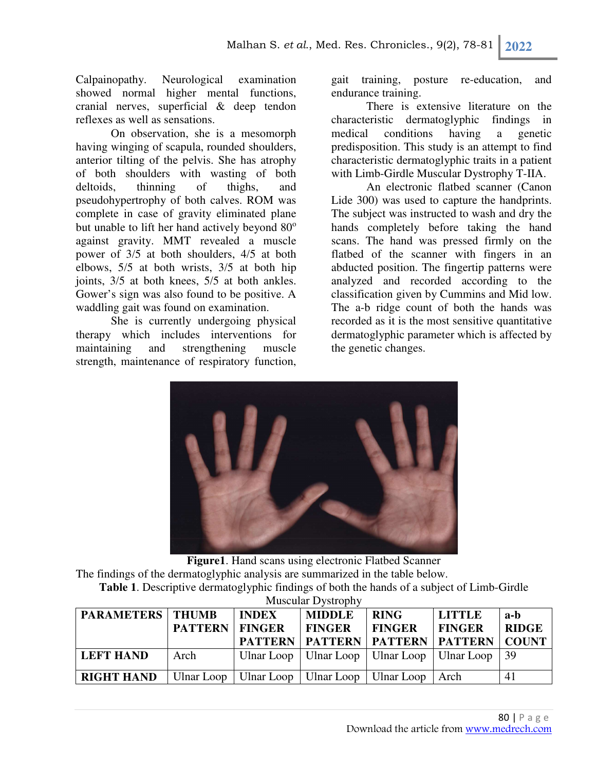Calpainopathy. Neurological examination showed normal higher mental functions, cranial nerves, superficial & deep tendon reflexes as well as sensations.

On observation, she is a mesomorph having winging of scapula, rounded shoulders, anterior tilting of the pelvis. She has atrophy of both shoulders with wasting of both deltoids, thinning of thighs, and pseudohypertrophy of both calves. ROM was complete in case of gravity eliminated plane but unable to lift her hand actively beyond  $80^\circ$ against gravity. MMT revealed a muscle power of 3/5 at both shoulders, 4/5 at both elbows, 5/5 at both wrists, 3/5 at both hip joints, 3/5 at both knees, 5/5 at both ankles. Gower's sign was also found to be positive. A waddling gait was found on examination.

She is currently undergoing physical therapy which includes interventions for maintaining and strengthening muscle strength, maintenance of respiratory function,

gait training, posture re-education, and endurance training.

There is extensive literature on the characteristic dermatoglyphic findings in medical conditions having a genetic predisposition. This study is an attempt to find characteristic dermatoglyphic traits in a patient with Limb-Girdle Muscular Dystrophy T-IIA.

An electronic flatbed scanner (Canon Lide 300) was used to capture the handprints. The subject was instructed to wash and dry the hands completely before taking the hand scans. The hand was pressed firmly on the flatbed of the scanner with fingers in an abducted position. The fingertip patterns were analyzed and recorded according to the classification given by Cummins and Mid low. The a-b ridge count of both the hands was recorded as it is the most sensitive quantitative dermatoglyphic parameter which is affected by the genetic changes.



**Figure1**. Hand scans using electronic Flatbed Scanner The findings of the dermatoglyphic analysis are summarized in the table below. **Table 1**. Descriptive dermatoglyphic findings of both the hands of a subject of Limb-Girdle

| 1.180                     |                |               |                                                      |               |               |              |  |  |
|---------------------------|----------------|---------------|------------------------------------------------------|---------------|---------------|--------------|--|--|
| <b>PARAMETERS   THUMB</b> |                | <b>INDEX</b>  | <b>MIDDLE</b>                                        | <b>RING</b>   | <b>LITTLE</b> | a-b          |  |  |
|                           | <b>PATTERN</b> | <b>FINGER</b> | <b>FINGER</b>                                        | <b>FINGER</b> | <b>FINGER</b> | <b>RIDGE</b> |  |  |
|                           |                |               | <b>PATTERN   PATTERN   PATTERN   PATTERN   COUNT</b> |               |               |              |  |  |
| <b>LEFT HAND</b>          | Arch           | Ulnar Loop    | Ulnar Loop   Ulnar Loop   Ulnar Loop                 |               |               | $\vert$ 39   |  |  |
| <b>RIGHT HAND</b>         | Ulnar Loop     |               | Ulnar Loop   Ulnar Loop   Ulnar Loop                 |               | ∣ Arch        | 41           |  |  |

Muscular Dystrophy